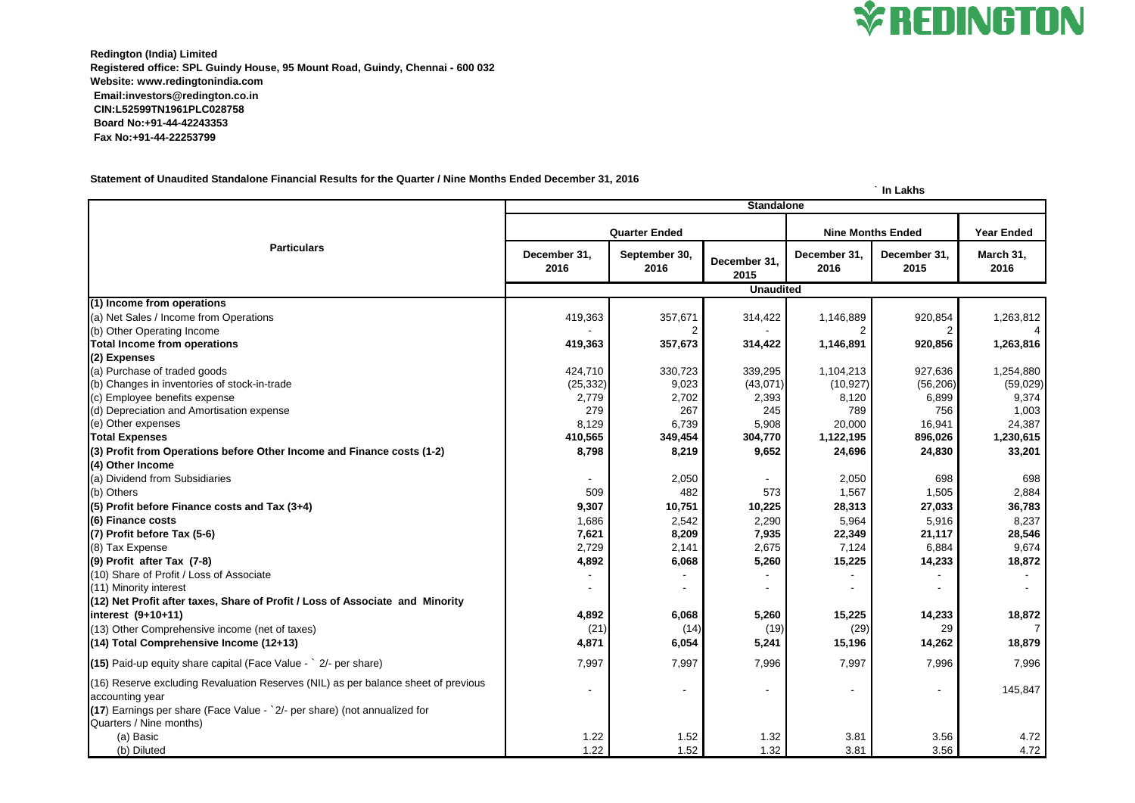**Redington (India) Limited Registered office: SPL Guindy House, 95 Mount Road, Guindy, Chennai - 600 032 Website: www.redingtonindia.com Email:investors@redington.co.in CIN:L52599TN1961PLC028758 Board No:+91-44-42243353 Fax No:+91-44-22253799**

## **Statement of Unaudited Standalone Financial Results for the Quarter / Nine Months Ended December 31, 2016**

## **` In Lakhs**

| <b>Particulars</b>                                                                                                                                                                                            | <b>Standalone</b>    |                       |                      |                          |                          |                   |  |
|---------------------------------------------------------------------------------------------------------------------------------------------------------------------------------------------------------------|----------------------|-----------------------|----------------------|--------------------------|--------------------------|-------------------|--|
|                                                                                                                                                                                                               | <b>Quarter Ended</b> |                       |                      | <b>Nine Months Ended</b> |                          | <b>Year Ended</b> |  |
|                                                                                                                                                                                                               | December 31,<br>2016 | September 30,<br>2016 | December 31,<br>2015 | December 31,<br>2016     | December 31,<br>2015     | March 31,<br>2016 |  |
|                                                                                                                                                                                                               | <b>Unaudited</b>     |                       |                      |                          |                          |                   |  |
| (1) Income from operations                                                                                                                                                                                    |                      |                       |                      |                          |                          |                   |  |
| (a) Net Sales / Income from Operations                                                                                                                                                                        | 419,363              | 357,671               | 314,422              | 1,146,889                | 920,854                  | 1,263,812         |  |
| (b) Other Operating Income                                                                                                                                                                                    |                      |                       |                      |                          |                          |                   |  |
| <b>Total Income from operations</b>                                                                                                                                                                           | 419,363              | 357,673               | 314,422              | 1,146,891                | 920,856                  | 1,263,816         |  |
| (2) Expenses                                                                                                                                                                                                  |                      |                       |                      |                          |                          |                   |  |
| (a) Purchase of traded goods                                                                                                                                                                                  | 424,710              | 330,723               | 339,295              | 1,104,213                | 927,636                  | 1,254,880         |  |
| (b) Changes in inventories of stock-in-trade                                                                                                                                                                  | (25, 332)            | 9,023                 | (43,071)             | (10, 927)                | (56, 206)                | (59, 029)         |  |
| (c) Employee benefits expense                                                                                                                                                                                 | 2,779                | 2,702                 | 2,393                | 8,120                    | 6,899                    | 9,374             |  |
| (d) Depreciation and Amortisation expense                                                                                                                                                                     | 279                  | 267                   | 245                  | 789                      | 756                      | 1,003             |  |
| (e) Other expenses                                                                                                                                                                                            | 8,129                | 6,739                 | 5,908                | 20,000                   | 16,941                   | 24,387            |  |
| <b>Total Expenses</b>                                                                                                                                                                                         | 410,565              | 349,454               | 304,770              | 1,122,195                | 896,026                  | 1,230,615         |  |
| (3) Profit from Operations before Other Income and Finance costs (1-2)                                                                                                                                        | 8,798                | 8,219                 | 9,652                | 24,696                   | 24,830                   | 33,201            |  |
| (4) Other Income                                                                                                                                                                                              |                      |                       |                      |                          |                          |                   |  |
| (a) Dividend from Subsidiaries                                                                                                                                                                                |                      | 2,050                 |                      | 2,050                    | 698                      | 698               |  |
| (b) Others                                                                                                                                                                                                    | 509                  | 482                   | 573                  | 1,567                    | 1,505                    | 2,884             |  |
| $(5)$ Profit before Finance costs and Tax $(3+4)$                                                                                                                                                             | 9,307                | 10,751                | 10,225               | 28,313                   | 27,033                   | 36,783            |  |
| (6) Finance costs                                                                                                                                                                                             | 1,686                | 2,542                 | 2,290                | 5,964                    | 5,916                    | 8,237             |  |
| $(7)$ Profit before Tax $(5-6)$                                                                                                                                                                               | 7,621                | 8,209                 | 7,935                | 22,349                   | 21,117                   | 28,546            |  |
| (8) Tax Expense                                                                                                                                                                                               | 2,729                | 2,141                 | 2,675                | 7,124                    | 6,884                    | 9,674             |  |
| $(9)$ Profit after Tax $(7-8)$                                                                                                                                                                                | 4,892                | 6,068                 | 5,260                | 15,225                   | 14,233                   | 18,872            |  |
| (10) Share of Profit / Loss of Associate                                                                                                                                                                      |                      |                       |                      |                          |                          |                   |  |
| (11) Minority interest                                                                                                                                                                                        |                      |                       |                      |                          |                          |                   |  |
| (12) Net Profit after taxes, Share of Profit / Loss of Associate and Minority                                                                                                                                 |                      |                       |                      |                          |                          |                   |  |
| $interest (9+10+11)$                                                                                                                                                                                          | 4,892                | 6,068                 | 5,260                | 15,225                   | 14,233                   | 18,872            |  |
| (13) Other Comprehensive income (net of taxes)                                                                                                                                                                | (21)                 | (14)                  | (19)                 | (29)                     | 29                       | 7                 |  |
| $(14)$ Total Comprehensive Income (12+13)                                                                                                                                                                     | 4,871                | 6,054                 | 5,241                | 15,196                   | 14,262                   | 18,879            |  |
| $(15)$ Paid-up equity share capital (Face Value - $\degree$ 2/- per share)                                                                                                                                    | 7,997                | 7,997                 | 7,996                | 7,997                    | 7,996                    | 7,996             |  |
| (16) Reserve excluding Revaluation Reserves (NIL) as per balance sheet of previous<br>accounting year<br>(17) Earnings per share (Face Value - `2/- per share) (not annualized for<br>Quarters / Nine months) |                      |                       |                      |                          | $\overline{\phantom{a}}$ | 145,847           |  |
| (a) Basic                                                                                                                                                                                                     | 1.22                 | 1.52                  | 1.32                 | 3.81                     | 3.56                     | 4.72              |  |
| (b) Diluted                                                                                                                                                                                                   | 1.22                 | 1.52                  | 1.32                 | 3.81                     | 3.56                     | 4.72              |  |
|                                                                                                                                                                                                               |                      |                       |                      |                          |                          |                   |  |

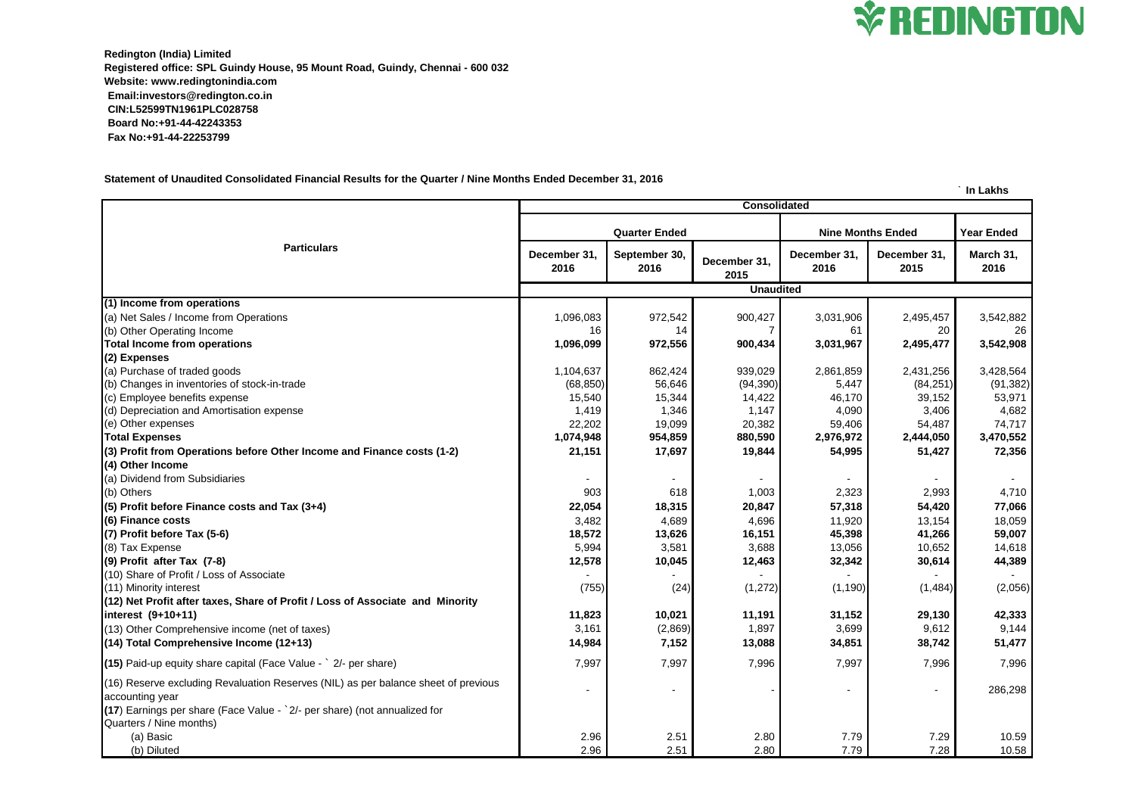**Redington (India) Limited Registered office: SPL Guindy House, 95 Mount Road, Guindy, Chennai - 600 032 Website: www.redingtonindia.com Email:investors@redington.co.in CIN:L52599TN1961PLC028758 Board No:+91-44-42243353 Fax No:+91-44-22253799**

**Statement of Unaudited Consolidated Financial Results for the Quarter / Nine Months Ended December 31, 2016**

**` In Lakhs**

| <b>Particulars</b>                                                                                    | <b>Consolidated</b>  |                       |                      |                          |                      |                   |  |
|-------------------------------------------------------------------------------------------------------|----------------------|-----------------------|----------------------|--------------------------|----------------------|-------------------|--|
|                                                                                                       | <b>Quarter Ended</b> |                       |                      | <b>Nine Months Ended</b> |                      | <b>Year Ended</b> |  |
|                                                                                                       | December 31,<br>2016 | September 30,<br>2016 | December 31,<br>2015 | December 31,<br>2016     | December 31,<br>2015 | March 31,<br>2016 |  |
|                                                                                                       | <b>Unaudited</b>     |                       |                      |                          |                      |                   |  |
| (1) Income from operations                                                                            |                      |                       |                      |                          |                      |                   |  |
| (a) Net Sales / Income from Operations                                                                | 1,096,083            | 972,542               | 900,427              | 3,031,906                | 2,495,457            | 3,542,882         |  |
| (b) Other Operating Income                                                                            | 16                   | 14                    |                      | 61                       | 20                   | 26                |  |
| <b>Total Income from operations</b>                                                                   | 1,096,099            | 972,556               | 900,434              | 3,031,967                | 2,495,477            | 3,542,908         |  |
| (2) Expenses                                                                                          |                      |                       |                      |                          |                      |                   |  |
| (a) Purchase of traded goods                                                                          | 1,104,637            | 862,424               | 939,029              | 2,861,859                | 2,431,256            | 3,428,564         |  |
| (b) Changes in inventories of stock-in-trade                                                          | (68, 850)            | 56,646                | (94, 390)            | 5,447                    | (84, 251)            | (91, 382)         |  |
| (c) Employee benefits expense                                                                         | 15,540               | 15,344                | 14,422               | 46,170                   | 39,152               | 53,971            |  |
| (d) Depreciation and Amortisation expense                                                             | 1,419                | 1,346                 | 1,147                | 4,090                    | 3,406                | 4,682             |  |
| (e) Other expenses                                                                                    | 22,202               | 19,099                | 20,382               | 59,406                   | 54,487               | 74,717            |  |
| <b>Total Expenses</b>                                                                                 | 1,074,948            | 954,859               | 880,590              | 2,976,972                | 2,444,050            | 3,470,552         |  |
| (3) Profit from Operations before Other Income and Finance costs (1-2)                                | 21,151               | 17,697                | 19,844               | 54,995                   | 51,427               | 72,356            |  |
| $(4)$ Other Income                                                                                    |                      |                       |                      |                          |                      |                   |  |
| (a) Dividend from Subsidiaries                                                                        |                      |                       |                      |                          |                      |                   |  |
| (b) Others                                                                                            | 903                  | 618                   | 1,003                | 2,323                    | 2,993                | 4,710             |  |
| $(5)$ Profit before Finance costs and Tax $(3+4)$                                                     | 22,054               | 18,315                | 20,847               | 57,318                   | 54,420               | 77,066            |  |
| (6) Finance costs                                                                                     | 3,482                | 4,689                 | 4,696                | 11,920                   | 13,154               | 18,059            |  |
| (7) Profit before Tax (5-6)                                                                           | 18,572               | 13,626                | 16,151               | 45,398                   | 41,266               | 59,007            |  |
| (8) Tax Expense                                                                                       | 5,994                | 3,581                 | 3,688                | 13,056                   | 10,652               | 14,618            |  |
| $(9)$ Profit after Tax $(7-8)$                                                                        | 12,578               | 10,045                | 12,463               | 32,342                   | 30,614               | 44,389            |  |
| (10) Share of Profit / Loss of Associate                                                              |                      |                       |                      |                          |                      |                   |  |
| (11) Minority interest                                                                                | (755)                | (24)                  | (1, 272)             | (1, 190)                 | (1,484)              | (2,056)           |  |
| (12) Net Profit after taxes, Share of Profit / Loss of Associate and Minority                         |                      |                       |                      |                          |                      |                   |  |
| $interest (9+10+11)$                                                                                  | 11,823               | 10,021                | 11,191               | 31,152                   | 29,130               | 42,333            |  |
| (13) Other Comprehensive income (net of taxes)                                                        | 3,161                | (2,869)               | 1,897                | 3,699                    | 9,612                | 9,144             |  |
| $(14)$ Total Comprehensive Income (12+13)                                                             | 14,984               | 7,152                 | 13,088               | 34,851                   | 38,742               | 51,477            |  |
| $(15)$ Paid-up equity share capital (Face Value - $\degree$ 2/- per share)                            | 7,997                | 7,997                 | 7,996                | 7,997                    | 7,996                | 7,996             |  |
| (16) Reserve excluding Revaluation Reserves (NIL) as per balance sheet of previous<br>accounting year |                      |                       |                      |                          |                      | 286,298           |  |
| (17) Earnings per share (Face Value - `2/- per share) (not annualized for<br>Quarters / Nine months)  |                      |                       |                      |                          |                      |                   |  |
| (a) Basic                                                                                             | 2.96                 | 2.51                  | 2.80                 | 7.79                     | 7.29                 | 10.59             |  |
| (b) Diluted                                                                                           | 2.96                 | 2.51                  | 2.80                 | 7.79                     | 7.28                 | 10.58             |  |